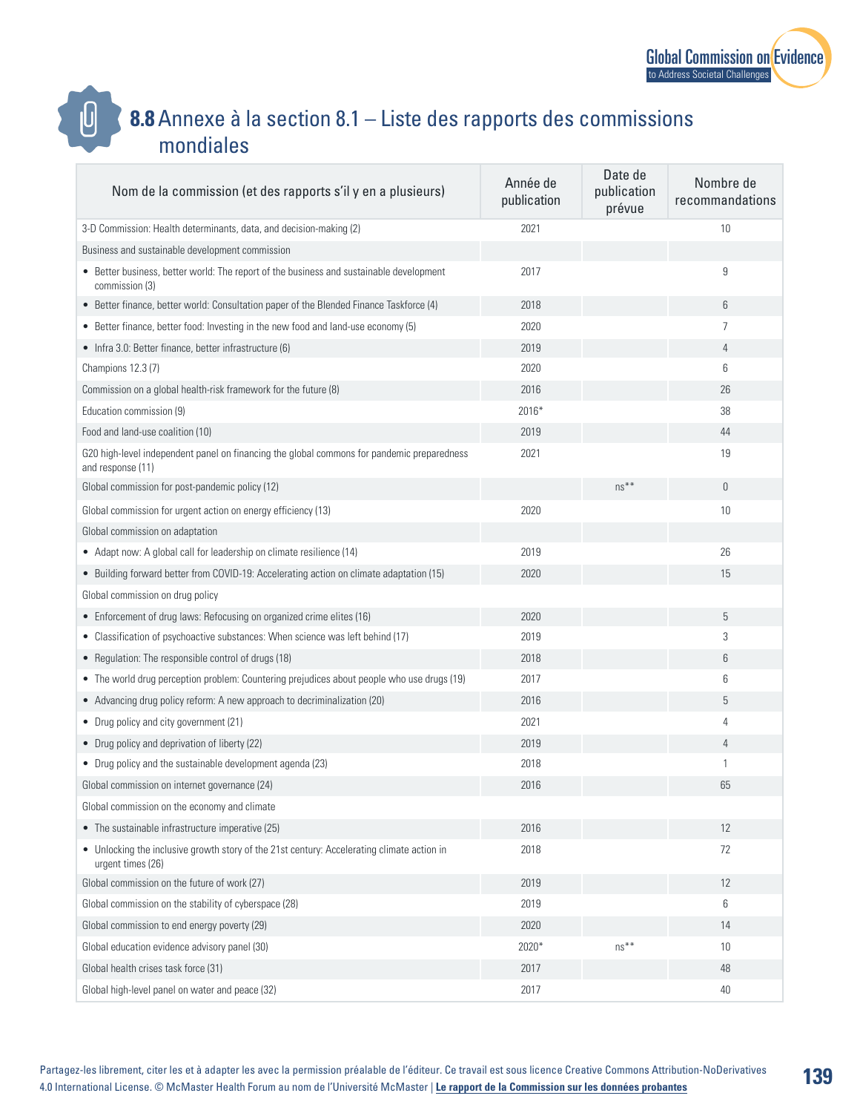

**139**

## **8.8**Annexe à la section 8.1 – Liste des rapports des commissions mondiales

 $\bm{\mathsf{0}}$ 

| Nom de la commission (et des rapports s'il y en a plusieurs)                                                    | Année de<br>publication | Date de<br>publication<br>prévue | Nombre de<br>recommandations |
|-----------------------------------------------------------------------------------------------------------------|-------------------------|----------------------------------|------------------------------|
| 3-D Commission: Health determinants, data, and decision-making (2)                                              | 2021                    |                                  | 10                           |
| Business and sustainable development commission                                                                 |                         |                                  |                              |
| • Better business, better world: The report of the business and sustainable development<br>commission (3)       | 2017                    |                                  | 9                            |
| • Better finance, better world: Consultation paper of the Blended Finance Taskforce (4)                         | 2018                    |                                  | 6                            |
| • Better finance, better food: Investing in the new food and land-use economy (5)                               | 2020                    |                                  | 7                            |
| • Infra 3.0: Better finance, better infrastructure (6)                                                          | 2019                    |                                  | 4                            |
| Champions 12.3 (7)                                                                                              | 2020                    |                                  | 6                            |
| Commission on a global health-risk framework for the future (8)                                                 | 2016                    |                                  | 26                           |
| Education commission (9)                                                                                        | 2016*                   |                                  | 38                           |
| Food and land-use coalition (10)                                                                                | 2019                    |                                  | 44                           |
| G20 high-level independent panel on financing the global commons for pandemic preparedness<br>and response (11) | 2021                    |                                  | 19                           |
| Global commission for post-pandemic policy (12)                                                                 |                         | $ns**$                           | $\theta$                     |
| Global commission for urgent action on energy efficiency (13)                                                   | 2020                    |                                  | 10                           |
| Global commission on adaptation                                                                                 |                         |                                  |                              |
| • Adapt now: A global call for leadership on climate resilience (14)                                            | 2019                    |                                  | 26                           |
| • Building forward better from COVID-19: Accelerating action on climate adaptation (15)                         | 2020                    |                                  | 15                           |
| Global commission on drug policy                                                                                |                         |                                  |                              |
| • Enforcement of drug laws: Refocusing on organized crime elites (16)                                           | 2020                    |                                  | 5                            |
| • Classification of psychoactive substances: When science was left behind (17)                                  | 2019                    |                                  | 3                            |
| • Regulation: The responsible control of drugs (18)                                                             | 2018                    |                                  | 6                            |
| • The world drug perception problem: Countering prejudices about people who use drugs (19)                      | 2017                    |                                  | 6                            |
| • Advancing drug policy reform: A new approach to decriminalization (20)                                        | 2016                    |                                  | 5                            |
| • Drug policy and city government (21)                                                                          | 2021                    |                                  | 4                            |
| • Drug policy and deprivation of liberty (22)                                                                   | 2019                    |                                  | $\overline{4}$               |
| • Drug policy and the sustainable development agenda (23)                                                       | 2018                    |                                  | 1                            |
| Global commission on internet governance (24)                                                                   | 2016                    |                                  | 65                           |
| Global commission on the economy and climate                                                                    |                         |                                  |                              |
| • The sustainable infrastructure imperative (25)                                                                | 2016                    |                                  | 12                           |
| • Unlocking the inclusive growth story of the 21st century: Accelerating climate action in<br>urgent times (26) | 2018                    |                                  | 72                           |
| Global commission on the future of work (27)                                                                    | 2019                    |                                  | 12                           |
| Global commission on the stability of cyberspace (28)                                                           | 2019                    |                                  | 6                            |
| Global commission to end energy poverty (29)                                                                    | 2020                    |                                  | 14                           |
| Global education evidence advisory panel (30)                                                                   | 2020*                   | $ns***$                          | 10                           |
| Global health crises task force (31)                                                                            | 2017                    |                                  | 48                           |
| Global high-level panel on water and peace (32)                                                                 | 2017                    |                                  | 40                           |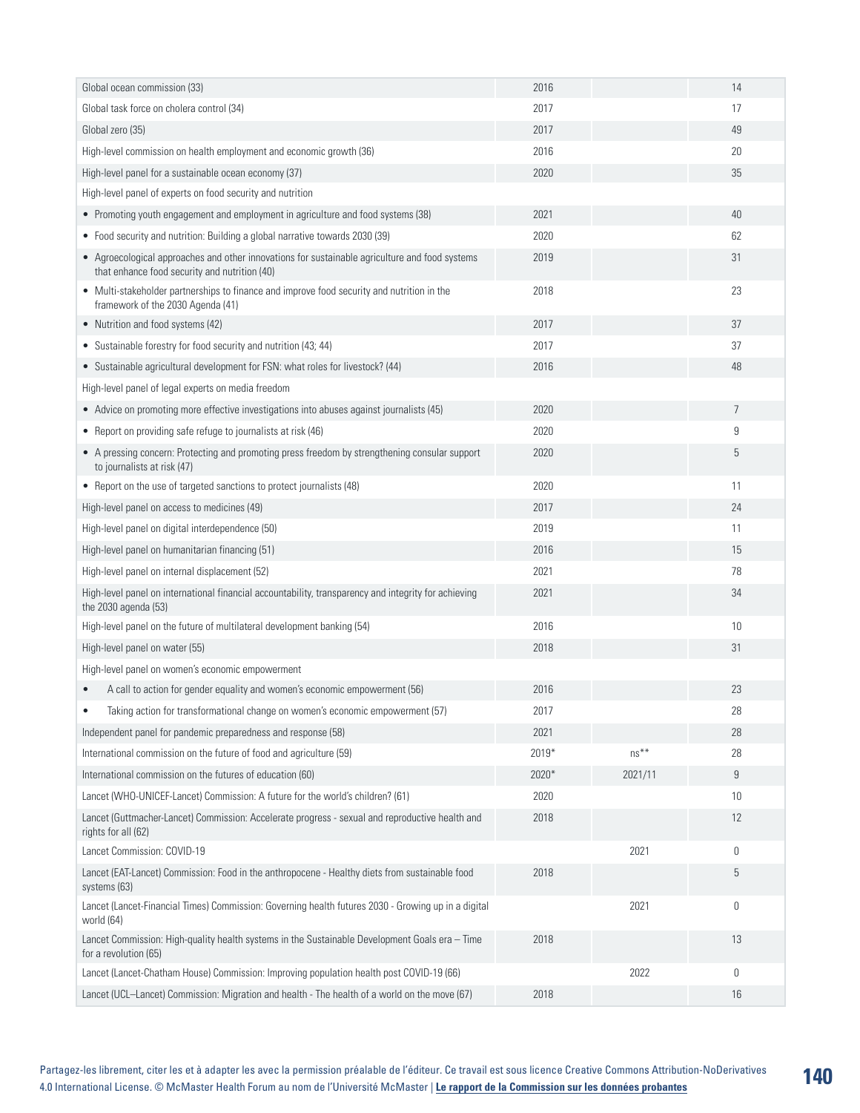| Global ocean commission (33)                                                                                                                    | 2016  |         | 14               |
|-------------------------------------------------------------------------------------------------------------------------------------------------|-------|---------|------------------|
| Global task force on cholera control (34)                                                                                                       | 2017  |         | 17               |
| Global zero (35)                                                                                                                                | 2017  |         | 49               |
| High-level commission on health employment and economic growth (36)                                                                             | 2016  |         | 20               |
| High-level panel for a sustainable ocean economy (37)                                                                                           | 2020  |         | 35               |
| High-level panel of experts on food security and nutrition                                                                                      |       |         |                  |
| • Promoting youth engagement and employment in agriculture and food systems (38)                                                                | 2021  |         | 40               |
| • Food security and nutrition: Building a global narrative towards 2030 (39)                                                                    | 2020  |         | 62               |
| • Agroecological approaches and other innovations for sustainable agriculture and food systems<br>that enhance food security and nutrition (40) | 2019  |         | 31               |
| • Multi-stakeholder partnerships to finance and improve food security and nutrition in the<br>framework of the 2030 Agenda (41)                 | 2018  |         | 23               |
| • Nutrition and food systems (42)                                                                                                               | 2017  |         | 37               |
| • Sustainable forestry for food security and nutrition (43; 44)                                                                                 | 2017  |         | 37               |
| • Sustainable agricultural development for FSN: what roles for livestock? (44)                                                                  | 2016  |         | 48               |
| High-level panel of legal experts on media freedom                                                                                              |       |         |                  |
| • Advice on promoting more effective investigations into abuses against journalists (45)                                                        | 2020  |         | $\overline{7}$   |
| • Report on providing safe refuge to journalists at risk (46)                                                                                   | 2020  |         | 9                |
| • A pressing concern: Protecting and promoting press freedom by strengthening consular support<br>to journalists at risk (47)                   | 2020  |         | 5                |
| • Report on the use of targeted sanctions to protect journalists (48)                                                                           | 2020  |         | 11               |
| High-level panel on access to medicines (49)                                                                                                    | 2017  |         | 24               |
| High-level panel on digital interdependence (50)                                                                                                | 2019  |         | 11               |
| High-level panel on humanitarian financing (51)                                                                                                 | 2016  |         | 15               |
| High-level panel on internal displacement (52)                                                                                                  | 2021  |         | 78               |
| High-level panel on international financial accountability, transparency and integrity for achieving<br>the 2030 agenda (53)                    | 2021  |         | 34               |
| High-level panel on the future of multilateral development banking (54)                                                                         | 2016  |         | 10               |
| High-level panel on water (55)                                                                                                                  | 2018  |         | 31               |
| High-level panel on women's economic empowerment                                                                                                |       |         |                  |
| A call to action for gender equality and women's economic empowerment (56)                                                                      | 2016  |         | 23               |
| Taking action for transformational change on women's economic empowerment (57)                                                                  | 2017  |         | 28               |
| Independent panel for pandemic preparedness and response (58)                                                                                   | 2021  |         | 28               |
| International commission on the future of food and agriculture (59)                                                                             | 2019* | $ns***$ | 28               |
| International commission on the futures of education (60)                                                                                       | 2020* | 2021/11 | $\boldsymbol{9}$ |
| Lancet (WHO-UNICEF-Lancet) Commission: A future for the world's children? (61)                                                                  | 2020  |         | 10 <sup>°</sup>  |
| Lancet (Guttmacher-Lancet) Commission: Accelerate progress - sexual and reproductive health and<br>rights for all (62)                          | 2018  |         | 12               |
| Lancet Commission: COVID-19                                                                                                                     |       | 2021    | 0                |
| Lancet (EAT-Lancet) Commission: Food in the anthropocene - Healthy diets from sustainable food<br>systems (63)                                  | 2018  |         | 5                |
| Lancet (Lancet-Financial Times) Commission: Governing health futures 2030 - Growing up in a digital<br>world (64)                               |       | 2021    | 0                |
| Lancet Commission: High-quality health systems in the Sustainable Development Goals era - Time<br>for a revolution (65)                         | 2018  |         | 13               |
| Lancet (Lancet-Chatham House) Commission: Improving population health post COVID-19 (66)                                                        |       | 2022    | 0                |
| Lancet (UCL-Lancet) Commission: Migration and health - The health of a world on the move (67)                                                   | 2018  |         | 16               |